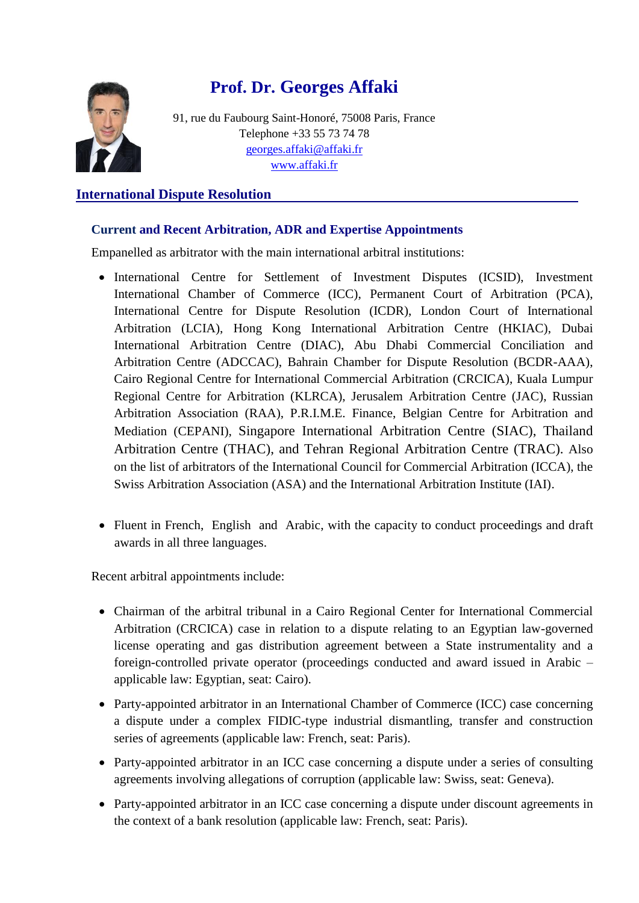

# **Prof. Dr. Georges Affaki**

91, rue du Faubourg Saint-Honoré, 75008 Paris, France Telephone +33 55 73 74 78 [georges.affaki@affaki.fr](mailto:georges.affaki@affaki.fr) [www.affaki.fr](http://www.affaki.fr/)

## **International Dispute Resolution**

## **Current and Recent Arbitration, ADR and Expertise Appointments**

Empanelled as arbitrator with the main international arbitral institutions:

- International Centre for Settlement of Investment Disputes (ICSID), Investment International Chamber of Commerce (ICC), Permanent Court of Arbitration (PCA), International Centre for Dispute Resolution (ICDR), London Court of International Arbitration (LCIA), Hong Kong International Arbitration Centre (HKIAC), Dubai International Arbitration Centre (DIAC), Abu Dhabi Commercial Conciliation and Arbitration Centre (ADCCAC), Bahrain Chamber for Dispute Resolution (BCDR-AAA), Cairo Regional Centre for International Commercial Arbitration (CRCICA), Kuala Lumpur Regional Centre for Arbitration (KLRCA), Jerusalem Arbitration Centre (JAC), Russian Arbitration Association (RAA), P.R.I.M.E. Finance, Belgian Centre for Arbitration and Mediation (CEPANI), Singapore International Arbitration Centre (SIAC), Thailand Arbitration Centre (THAC), and Tehran Regional Arbitration Centre (TRAC). Also on the list of arbitrators of the International Council for Commercial Arbitration (ICCA), the Swiss Arbitration Association (ASA) and the International Arbitration Institute (IAI).
- Fluent in French, English and Arabic, with the capacity to conduct proceedings and draft awards in all three languages.

Recent arbitral appointments include:

- Chairman of the arbitral tribunal in a Cairo Regional Center for International Commercial Arbitration (CRCICA) case in relation to a dispute relating to an Egyptian law-governed license operating and gas distribution agreement between a State instrumentality and a foreign-controlled private operator (proceedings conducted and award issued in Arabic – applicable law: Egyptian, seat: Cairo).
- Party-appointed arbitrator in an International Chamber of Commerce (ICC) case concerning a dispute under a complex FIDIC-type industrial dismantling, transfer and construction series of agreements (applicable law: French, seat: Paris).
- Party-appointed arbitrator in an ICC case concerning a dispute under a series of consulting agreements involving allegations of corruption (applicable law: Swiss, seat: Geneva).
- Party-appointed arbitrator in an ICC case concerning a dispute under discount agreements in the context of a bank resolution (applicable law: French, seat: Paris).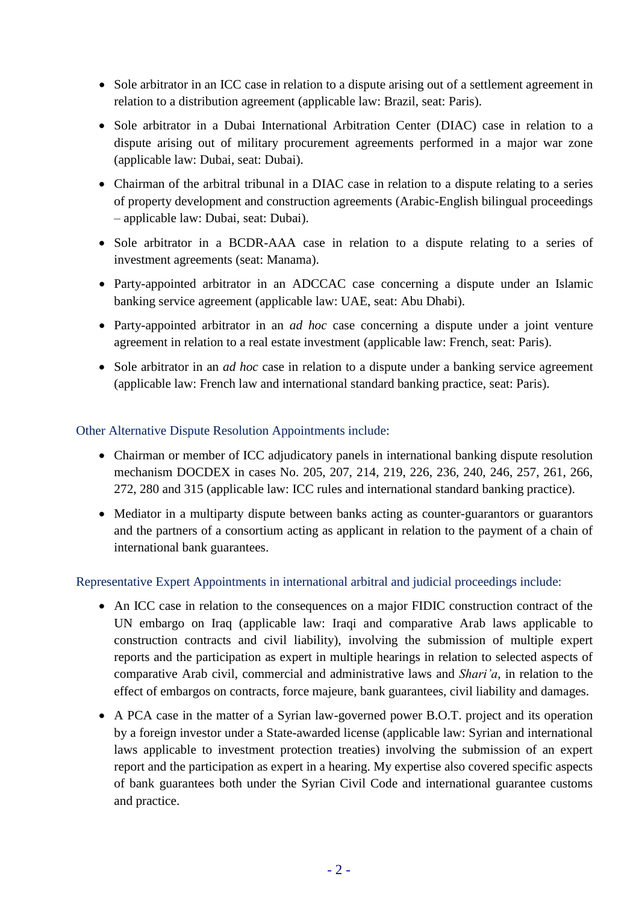- Sole arbitrator in an ICC case in relation to a dispute arising out of a settlement agreement in relation to a distribution agreement (applicable law: Brazil, seat: Paris).
- Sole arbitrator in a Dubai International Arbitration Center (DIAC) case in relation to a dispute arising out of military procurement agreements performed in a major war zone (applicable law: Dubai, seat: Dubai).
- Chairman of the arbitral tribunal in a DIAC case in relation to a dispute relating to a series of property development and construction agreements (Arabic-English bilingual proceedings – applicable law: Dubai, seat: Dubai).
- Sole arbitrator in a BCDR-AAA case in relation to a dispute relating to a series of investment agreements (seat: Manama).
- Party-appointed arbitrator in an ADCCAC case concerning a dispute under an Islamic banking service agreement (applicable law: UAE, seat: Abu Dhabi).
- Party-appointed arbitrator in an *ad hoc* case concerning a dispute under a joint venture agreement in relation to a real estate investment (applicable law: French, seat: Paris).
- Sole arbitrator in an *ad hoc* case in relation to a dispute under a banking service agreement (applicable law: French law and international standard banking practice, seat: Paris).

## Other Alternative Dispute Resolution Appointments include:

- Chairman or member of ICC adjudicatory panels in international banking dispute resolution mechanism DOCDEX in cases No. 205, 207, 214, 219, 226, 236, 240, 246, 257, 261, 266, 272, 280 and 315 (applicable law: ICC rules and international standard banking practice).
- Mediator in a multiparty dispute between banks acting as counter-guarantors or guarantors and the partners of a consortium acting as applicant in relation to the payment of a chain of international bank guarantees.

## Representative Expert Appointments in international arbitral and judicial proceedings include:

- An ICC case in relation to the consequences on a major FIDIC construction contract of the UN embargo on Iraq (applicable law: Iraqi and comparative Arab laws applicable to construction contracts and civil liability), involving the submission of multiple expert reports and the participation as expert in multiple hearings in relation to selected aspects of comparative Arab civil, commercial and administrative laws and *Shari'a*, in relation to the effect of embargos on contracts, force majeure, bank guarantees, civil liability and damages.
- A PCA case in the matter of a Syrian law-governed power B.O.T. project and its operation by a foreign investor under a State-awarded license (applicable law: Syrian and international laws applicable to investment protection treaties) involving the submission of an expert report and the participation as expert in a hearing. My expertise also covered specific aspects of bank guarantees both under the Syrian Civil Code and international guarantee customs and practice.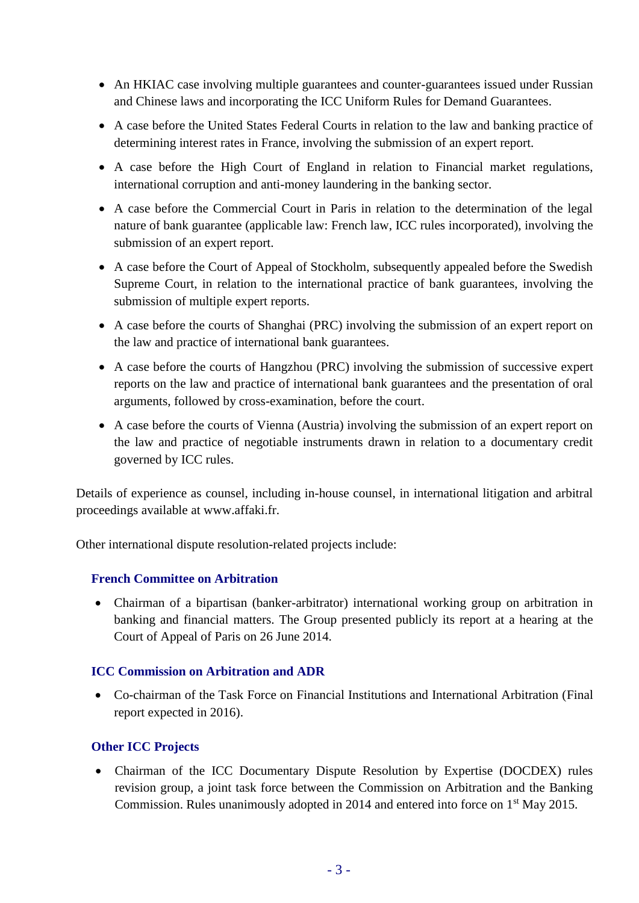- An HKIAC case involving multiple guarantees and counter-guarantees issued under Russian and Chinese laws and incorporating the ICC Uniform Rules for Demand Guarantees.
- A case before the United States Federal Courts in relation to the law and banking practice of determining interest rates in France, involving the submission of an expert report.
- A case before the High Court of England in relation to Financial market regulations, international corruption and anti-money laundering in the banking sector.
- A case before the Commercial Court in Paris in relation to the determination of the legal nature of bank guarantee (applicable law: French law, ICC rules incorporated), involving the submission of an expert report.
- A case before the Court of Appeal of Stockholm, subsequently appealed before the Swedish Supreme Court, in relation to the international practice of bank guarantees, involving the submission of multiple expert reports.
- A case before the courts of Shanghai (PRC) involving the submission of an expert report on the law and practice of international bank guarantees.
- A case before the courts of Hangzhou (PRC) involving the submission of successive expert reports on the law and practice of international bank guarantees and the presentation of oral arguments, followed by cross-examination, before the court.
- A case before the courts of Vienna (Austria) involving the submission of an expert report on the law and practice of negotiable instruments drawn in relation to a documentary credit governed by ICC rules.

Details of experience as counsel, including in-house counsel, in international litigation and arbitral proceedings available at www.affaki.fr.

Other international dispute resolution-related projects include:

## **French Committee on Arbitration**

 Chairman of a bipartisan (banker-arbitrator) international working group on arbitration in banking and financial matters. The Group presented publicly its report at a hearing at the Court of Appeal of Paris on 26 June 2014.

## **ICC Commission on Arbitration and ADR**

 Co-chairman of the Task Force on Financial Institutions and International Arbitration (Final report expected in 2016).

## **Other ICC Projects**

 Chairman of the ICC Documentary Dispute Resolution by Expertise (DOCDEX) rules revision group, a joint task force between the Commission on Arbitration and the Banking Commission. Rules unanimously adopted in 2014 and entered into force on 1<sup>st</sup> May 2015.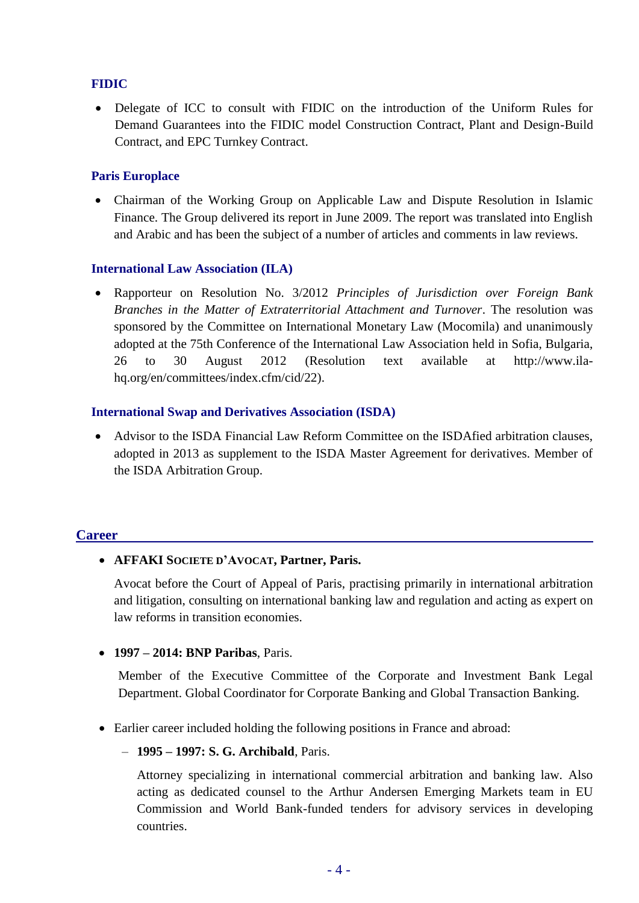## **FIDIC**

• Delegate of ICC to consult with FIDIC on the introduction of the Uniform Rules for Demand Guarantees into the FIDIC model Construction Contract, Plant and Design-Build Contract, and EPC Turnkey Contract.

## **Paris Europlace**

 Chairman of the Working Group on Applicable Law and Dispute Resolution in Islamic Finance. The Group delivered its report in June 2009. The report was translated into English and Arabic and has been the subject of a number of articles and comments in law reviews.

#### **International Law Association (ILA)**

 Rapporteur on Resolution No. 3/2012 *Principles of Jurisdiction over Foreign Bank Branches in the Matter of Extraterritorial Attachment and Turnover*. The resolution was sponsored by the Committee on International Monetary Law (Mocomila) and unanimously adopted at the 75th Conference of the International Law Association held in Sofia, Bulgaria, 26 to 30 August 2012 (Resolution text available at http://www.ilahq.org/en/committees/index.cfm/cid/22).

#### **International Swap and Derivatives Association (ISDA)**

 Advisor to the ISDA Financial Law Reform Committee on the ISDAfied arbitration clauses, adopted in 2013 as supplement to the ISDA Master Agreement for derivatives. Member of the ISDA Arbitration Group.

## **Career**

## **AFFAKI SOCIETE D'AVOCAT, Partner, Paris.**

Avocat before the Court of Appeal of Paris, practising primarily in international arbitration and litigation, consulting on international banking law and regulation and acting as expert on law reforms in transition economies.

## **1997 – 2014: BNP Paribas**, Paris.

Member of the Executive Committee of the Corporate and Investment Bank Legal Department. Global Coordinator for Corporate Banking and Global Transaction Banking.

- Earlier career included holding the following positions in France and abroad:
	- **1995 – 1997: S. G. Archibald**, Paris.

Attorney specializing in international commercial arbitration and banking law. Also acting as dedicated counsel to the Arthur Andersen Emerging Markets team in EU Commission and World Bank-funded tenders for advisory services in developing countries.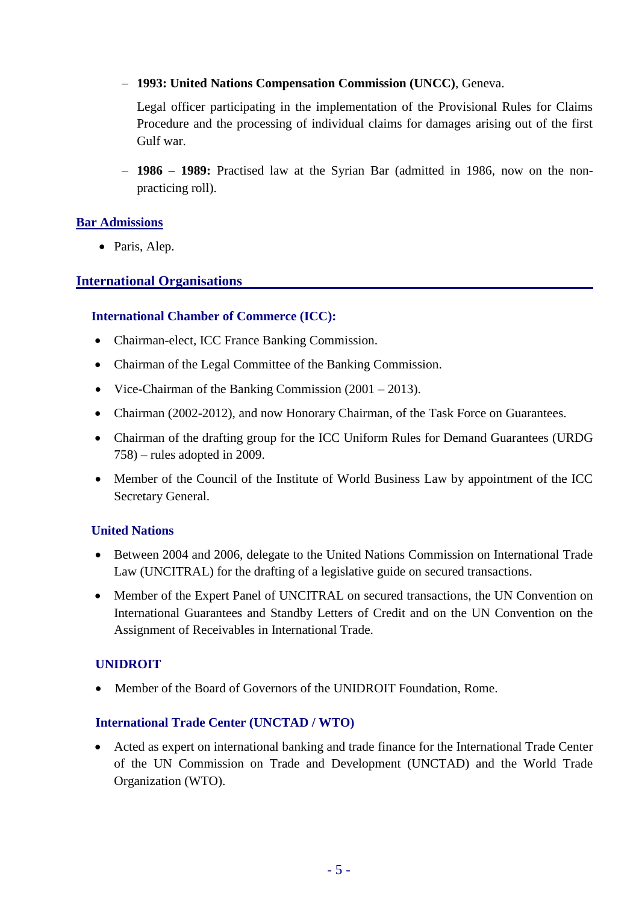– **1993: United Nations Compensation Commission (UNCC)**, Geneva.

Legal officer participating in the implementation of the Provisional Rules for Claims Procedure and the processing of individual claims for damages arising out of the first Gulf war.

– **1986 – 1989:** Practised law at the Syrian Bar (admitted in 1986, now on the nonpracticing roll).

## **Bar Admissions**

• Paris, Alep.

## **International Organisations**

## **International Chamber of Commerce (ICC):**

- Chairman-elect, ICC France Banking Commission.
- Chairman of the Legal Committee of the Banking Commission.
- Vice-Chairman of the Banking Commission (2001 2013).
- Chairman (2002-2012), and now Honorary Chairman, of the Task Force on Guarantees.
- Chairman of the drafting group for the ICC Uniform Rules for Demand Guarantees (URDG 758) – rules adopted in 2009.
- Member of the Council of the Institute of World Business Law by appointment of the ICC Secretary General.

## **United Nations**

- Between 2004 and 2006, delegate to the United Nations Commission on International Trade Law (UNCITRAL) for the drafting of a legislative guide on secured transactions.
- Member of the Expert Panel of UNCITRAL on secured transactions, the UN Convention on International Guarantees and Standby Letters of Credit and on the UN Convention on the Assignment of Receivables in International Trade.

## **UNIDROIT**

• Member of the Board of Governors of the UNIDROIT Foundation, Rome.

## **International Trade Center (UNCTAD / WTO)**

 Acted as expert on international banking and trade finance for the International Trade Center of the UN Commission on Trade and Development (UNCTAD) and the World Trade Organization (WTO).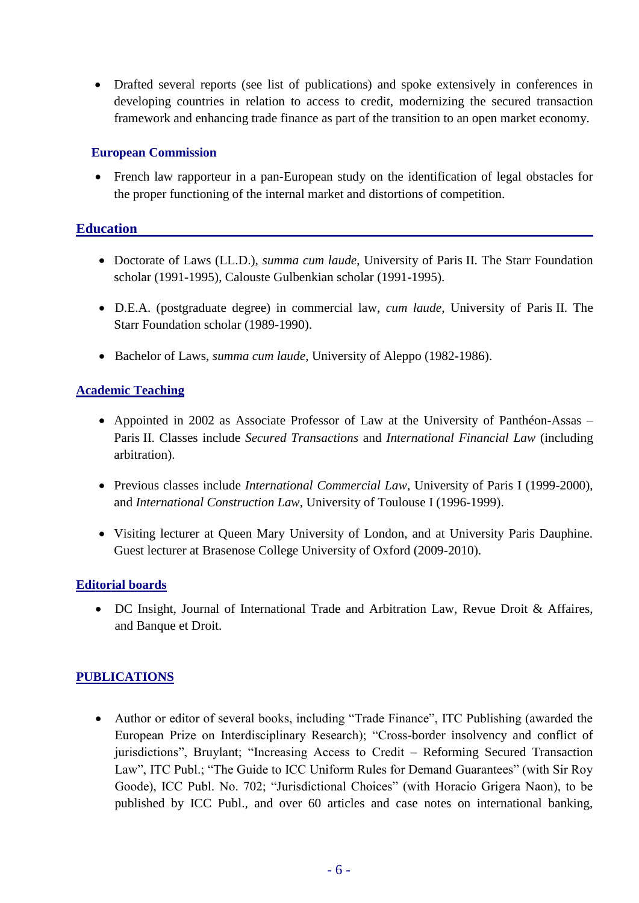Drafted several reports (see list of publications) and spoke extensively in conferences in developing countries in relation to access to credit, modernizing the secured transaction framework and enhancing trade finance as part of the transition to an open market economy.

#### **European Commission**

 French law rapporteur in a pan-European study on the identification of legal obstacles for the proper functioning of the internal market and distortions of competition.

## **Education**

- Doctorate of Laws (LL.D.), *summa cum laude*, University of Paris II. The Starr Foundation scholar (1991-1995), Calouste Gulbenkian scholar (1991-1995).
- D.E.A. (postgraduate degree) in commercial law, *cum laude*, University of Paris II. The Starr Foundation scholar (1989-1990).
- Bachelor of Laws, *summa cum laude*, University of Aleppo (1982-1986).

## **Academic Teaching**

- Appointed in 2002 as Associate Professor of Law at the University of Panthéon-Assas Paris II. Classes include *Secured Transactions* and *International Financial Law* (including arbitration).
- Previous classes include *International Commercial Law*, University of Paris I (1999-2000), and *International Construction Law*, University of Toulouse I (1996-1999).
- Visiting lecturer at Queen Mary University of London, and at University Paris Dauphine. Guest lecturer at Brasenose College University of Oxford (2009-2010).

## **Editorial boards**

• DC Insight, Journal of International Trade and Arbitration Law, Revue Droit & Affaires, and Banque et Droit.

## **PUBLICATIONS**

 Author or editor of several books, including "Trade Finance", ITC Publishing (awarded the European Prize on Interdisciplinary Research); "Cross-border insolvency and conflict of jurisdictions", Bruylant; "Increasing Access to Credit – Reforming Secured Transaction Law", ITC Publ.; "The Guide to ICC Uniform Rules for Demand Guarantees" (with Sir Roy Goode), ICC Publ. No. 702; "Jurisdictional Choices" (with Horacio Grigera Naon), to be published by ICC Publ., and over 60 articles and case notes on international banking,